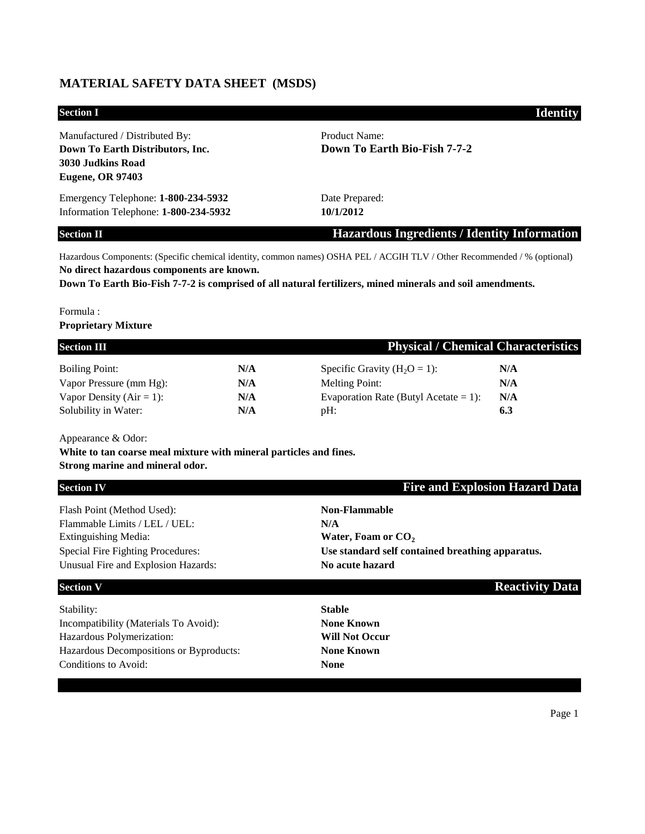## **MATERIAL SAFETY DATA SHEET (MSDS)**

| <b>Section I</b>                                                                                                   | <b>Identity</b>                                     |
|--------------------------------------------------------------------------------------------------------------------|-----------------------------------------------------|
| Manufactured / Distributed By:<br>Down To Earth Distributors, Inc.<br>3030 Judkins Road<br><b>Eugene, OR 97403</b> | Product Name:<br>Down To Earth Bio-Fish 7-7-2       |
| Emergency Telephone: 1-800-234-5932<br>Information Telephone: 1-800-234-5932                                       | Date Prepared:<br>10/1/2012                         |
| <b>Section II</b>                                                                                                  | <b>Hazardous Ingredients / Identity Information</b> |

Hazardous Components: (Specific chemical identity, common names) OSHA PEL / ACGIH TLV / Other Recommended / % (optional) **No direct hazardous components are known.** 

**Down To Earth Bio-Fish 7-7-2 is comprised of all natural fertilizers, mined minerals and soil amendments.**

# Formula :

#### **Proprietary Mixture**

| <b>Section III</b>           |     | <b>Physical / Chemical Characteristics</b> |     |
|------------------------------|-----|--------------------------------------------|-----|
| <b>Boiling Point:</b>        | N/A | Specific Gravity $(H_2O = 1)$ :            | N/A |
| Vapor Pressure (mm Hg):      | N/A | <b>Melting Point:</b>                      | N/A |
| Vapor Density ( $Air = 1$ ): | N/A | Evaporation Rate (Butyl Acetate = 1):      | N/A |
| Solubility in Water:         | N/A | $pH$ :                                     | 6.3 |

Appearance & Odor:

**White to tan coarse meal mixture with mineral particles and fines.** 

### **Strong marine and mineral odor.**

| <b>Section IV</b>                        | <b>Fire and Explosion Hazard Data</b>            |
|------------------------------------------|--------------------------------------------------|
| Flash Point (Method Used):               | <b>Non-Flammable</b>                             |
| Flammable Limits / LEL / UEL:            | N/A                                              |
| <b>Extinguishing Media:</b>              | Water, Foam or CO <sub>2</sub>                   |
| <b>Special Fire Fighting Procedures:</b> | Use standard self contained breathing apparatus. |
| Unusual Fire and Explosion Hazards:      | No acute hazard                                  |
|                                          |                                                  |

Stability: **Stable** Incompatibility (Materials To Avoid): **None Known** Hazardous Polymerization: **Will Not Occur** Hazardous Decompositions or Byproducts: **None Known** Conditions to Avoid: **None**

**Section V Reactivity Data** 

Page 1